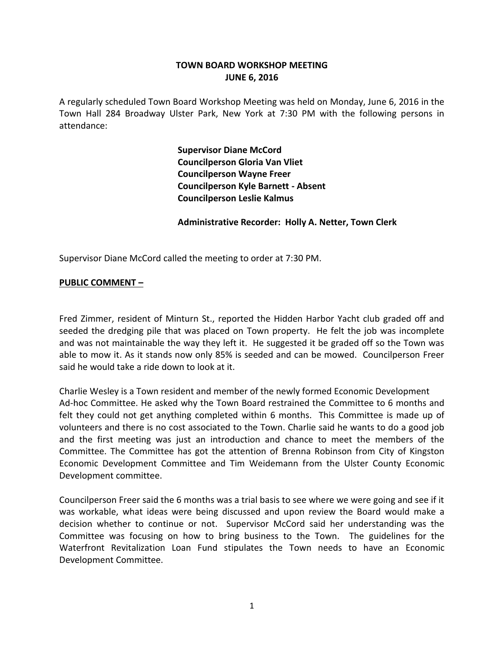## **TOWN BOARD WORKSHOP MEETING JUNE 6, 2016**

A regularly scheduled Town Board Workshop Meeting was held on Monday, June 6, 2016 in the Town Hall 284 Broadway Ulster Park, New York at 7:30 PM with the following persons in attendance:

> **Supervisor Diane McCord Councilperson Gloria Van Vliet Councilperson Wayne Freer Councilperson Kyle Barnett - Absent Councilperson Leslie Kalmus**

**Administrative Recorder: Holly A. Netter, Town Clerk**

Supervisor Diane McCord called the meeting to order at 7:30 PM.

#### **PUBLIC COMMENT –**

Fred Zimmer, resident of Minturn St., reported the Hidden Harbor Yacht club graded off and seeded the dredging pile that was placed on Town property. He felt the job was incomplete and was not maintainable the way they left it. He suggested it be graded off so the Town was able to mow it. As it stands now only 85% is seeded and can be mowed. Councilperson Freer said he would take a ride down to look at it.

Charlie Wesley is a Town resident and member of the newly formed Economic Development Ad-hoc Committee. He asked why the Town Board restrained the Committee to 6 months and felt they could not get anything completed within 6 months. This Committee is made up of volunteers and there is no cost associated to the Town. Charlie said he wants to do a good job and the first meeting was just an introduction and chance to meet the members of the Committee. The Committee has got the attention of Brenna Robinson from City of Kingston Economic Development Committee and Tim Weidemann from the Ulster County Economic Development committee.

Councilperson Freer said the 6 months was a trial basis to see where we were going and see if it was workable, what ideas were being discussed and upon review the Board would make a decision whether to continue or not. Supervisor McCord said her understanding was the Committee was focusing on how to bring business to the Town. The guidelines for the Waterfront Revitalization Loan Fund stipulates the Town needs to have an Economic Development Committee.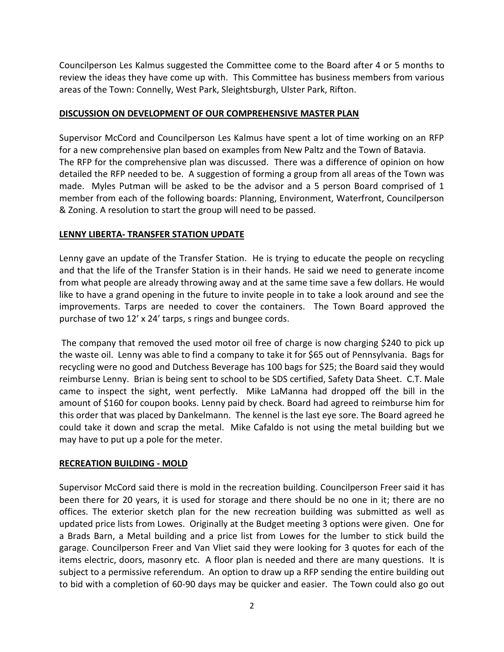Councilperson Les Kalmus suggested the Committee come to the Board after 4 or 5 months to review the ideas they have come up with. This Committee has business members from various areas of the Town: Connelly, West Park, Sleightsburgh, Ulster Park, Rifton.

## **DISCUSSION ON DEVELOPMENT OF OUR COMPREHENSIVE MASTER PLAN**

Supervisor McCord and Councilperson Les Kalmus have spent a lot of time working on an RFP for a new comprehensive plan based on examples from New Paltz and the Town of Batavia. The RFP for the comprehensive plan was discussed. There was a difference of opinion on how detailed the RFP needed to be. A suggestion of forming a group from all areas of the Town was made. Myles Putman will be asked to be the advisor and a 5 person Board comprised of 1 member from each of the following boards: Planning, Environment, Waterfront, Councilperson & Zoning. A resolution to start the group will need to be passed.

## **LENNY LIBERTA- TRANSFER STATION UPDATE**

Lenny gave an update of the Transfer Station. He is trying to educate the people on recycling and that the life of the Transfer Station is in their hands. He said we need to generate income from what people are already throwing away and at the same time save a few dollars. He would like to have a grand opening in the future to invite people in to take a look around and see the improvements. Tarps are needed to cover the containers. The Town Board approved the purchase of two 12' x 24' tarps, s rings and bungee cords.

The company that removed the used motor oil free of charge is now charging \$240 to pick up the waste oil. Lenny was able to find a company to take it for \$65 out of Pennsylvania. Bags for recycling were no good and Dutchess Beverage has 100 bags for \$25; the Board said they would reimburse Lenny. Brian is being sent to school to be SDS certified, Safety Data Sheet. C.T. Male came to inspect the sight, went perfectly. Mike LaManna had dropped off the bill in the amount of \$160 for coupon books. Lenny paid by check. Board had agreed to reimburse him for this order that was placed by Dankelmann. The kennel is the last eye sore. The Board agreed he could take it down and scrap the metal. Mike Cafaldo is not using the metal building but we may have to put up a pole for the meter.

## **RECREATION BUILDING - MOLD**

Supervisor McCord said there is mold in the recreation building. Councilperson Freer said it has been there for 20 years, it is used for storage and there should be no one in it; there are no offices. The exterior sketch plan for the new recreation building was submitted as well as updated price lists from Lowes. Originally at the Budget meeting 3 options were given. One for a Brads Barn, a Metal building and a price list from Lowes for the lumber to stick build the garage. Councilperson Freer and Van Vliet said they were looking for 3 quotes for each of the items electric, doors, masonry etc. A floor plan is needed and there are many questions. It is subject to a permissive referendum. An option to draw up a RFP sending the entire building out to bid with a completion of 60-90 days may be quicker and easier. The Town could also go out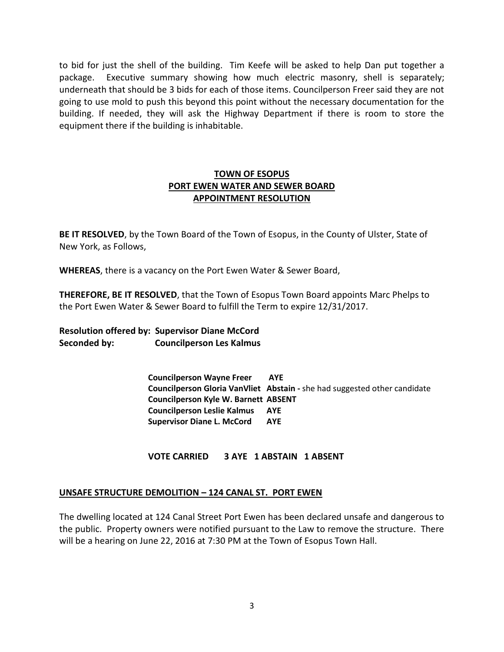to bid for just the shell of the building. Tim Keefe will be asked to help Dan put together a package. Executive summary showing how much electric masonry, shell is separately; underneath that should be 3 bids for each of those items. Councilperson Freer said they are not going to use mold to push this beyond this point without the necessary documentation for the building. If needed, they will ask the Highway Department if there is room to store the equipment there if the building is inhabitable.

# **TOWN OF ESOPUS PORT EWEN WATER AND SEWER BOARD APPOINTMENT RESOLUTION**

**BE IT RESOLVED**, by the Town Board of the Town of Esopus, in the County of Ulster, State of New York, as Follows,

**WHEREAS**, there is a vacancy on the Port Ewen Water & Sewer Board,

**THEREFORE, BE IT RESOLVED**, that the Town of Esopus Town Board appoints Marc Phelps to the Port Ewen Water & Sewer Board to fulfill the Term to expire 12/31/2017.

**Resolution offered by: Supervisor Diane McCord Seconded by: Councilperson Les Kalmus**

> **Councilperson Wayne Freer AYE Councilperson Gloria VanVliet Abstain -** she had suggested other candidate **Councilperson Kyle W. Barnett ABSENT Councilperson Leslie Kalmus AYE Supervisor Diane L. McCord AYE**

**VOTE CARRIED 3 AYE 1 ABSTAIN 1 ABSENT** 

## **UNSAFE STRUCTURE DEMOLITION – 124 CANAL ST. PORT EWEN**

The dwelling located at 124 Canal Street Port Ewen has been declared unsafe and dangerous to the public. Property owners were notified pursuant to the Law to remove the structure. There will be a hearing on June 22, 2016 at 7:30 PM at the Town of Esopus Town Hall.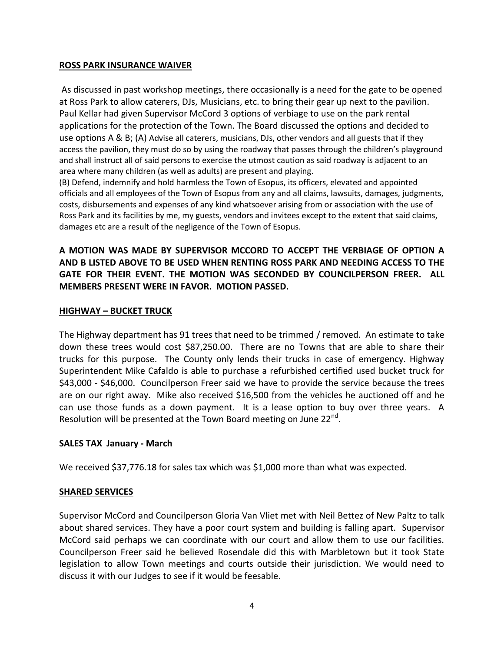#### **ROSS PARK INSURANCE WAIVER**

As discussed in past workshop meetings, there occasionally is a need for the gate to be opened at Ross Park to allow caterers, DJs, Musicians, etc. to bring their gear up next to the pavilion. Paul Kellar had given Supervisor McCord 3 options of verbiage to use on the park rental applications for the protection of the Town. The Board discussed the options and decided to use options A & B; (A) Advise all caterers, musicians, DJs, other vendors and all guests that if they access the pavilion, they must do so by using the roadway that passes through the children's playground and shall instruct all of said persons to exercise the utmost caution as said roadway is adjacent to an area where many children (as well as adults) are present and playing.

(B) Defend, indemnify and hold harmless the Town of Esopus, its officers, elevated and appointed officials and all employees of the Town of Esopus from any and all claims, lawsuits, damages, judgments, costs, disbursements and expenses of any kind whatsoever arising from or association with the use of Ross Park and its facilities by me, my guests, vendors and invitees except to the extent that said claims, damages etc are a result of the negligence of the Town of Esopus.

# **A MOTION WAS MADE BY SUPERVISOR MCCORD TO ACCEPT THE VERBIAGE OF OPTION A AND B LISTED ABOVE TO BE USED WHEN RENTING ROSS PARK AND NEEDING ACCESS TO THE GATE FOR THEIR EVENT. THE MOTION WAS SECONDED BY COUNCILPERSON FREER. ALL MEMBERS PRESENT WERE IN FAVOR. MOTION PASSED.**

#### **HIGHWAY – BUCKET TRUCK**

The Highway department has 91 trees that need to be trimmed / removed. An estimate to take down these trees would cost \$87,250.00. There are no Towns that are able to share their trucks for this purpose. The County only lends their trucks in case of emergency. Highway Superintendent Mike Cafaldo is able to purchase a refurbished certified used bucket truck for \$43,000 - \$46,000. Councilperson Freer said we have to provide the service because the trees are on our right away. Mike also received \$16,500 from the vehicles he auctioned off and he can use those funds as a down payment. It is a lease option to buy over three years. A Resolution will be presented at the Town Board meeting on June 22<sup>nd</sup>.

## **SALES TAX January - March**

We received \$37,776.18 for sales tax which was \$1,000 more than what was expected.

## **SHARED SERVICES**

Supervisor McCord and Councilperson Gloria Van Vliet met with Neil Bettez of New Paltz to talk about shared services. They have a poor court system and building is falling apart. Supervisor McCord said perhaps we can coordinate with our court and allow them to use our facilities. Councilperson Freer said he believed Rosendale did this with Marbletown but it took State legislation to allow Town meetings and courts outside their jurisdiction. We would need to discuss it with our Judges to see if it would be feesable.